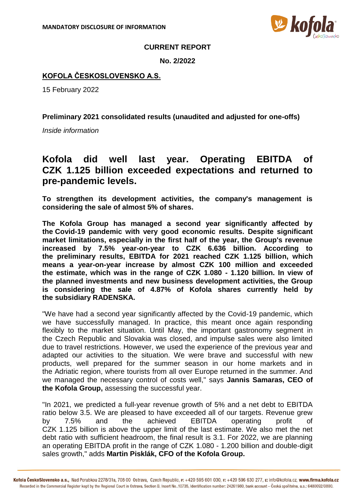

## **CURRENT REPORT**

**No. 2/2022**

## **KOFOLA ČESKOSLOVENSKO A.S.**

15 February 2022

**Preliminary 2021 consolidated results (unaudited and adjusted for one-offs)**

*Inside information*

## **Kofola did well last year. Operating EBITDA of CZK 1.125 billion exceeded expectations and returned to pre-pandemic levels.**

**To strengthen its development activities, the company's management is considering the sale of almost 5% of shares.**

**The Kofola Group has managed a second year significantly affected by the Covid-19 pandemic with very good economic results. Despite significant market limitations, especially in the first half of the year, the Group's revenue increased by 7.5% year-on-year to CZK 6.636 billion. According to the preliminary results, EBITDA for 2021 reached CZK 1.125 billion, which means a year-on-year increase by almost CZK 100 million and exceeded the estimate, which was in the range of CZK 1.080 - 1.120 billion. In view of the planned investments and new business development activities, the Group is considering the sale of 4.87% of Kofola shares currently held by the subsidiary RADENSKA.**

"We have had a second year significantly affected by the Covid-19 pandemic, which we have successfully managed. In practice, this meant once again responding flexibly to the market situation. Until May, the important gastronomy segment in the Czech Republic and Slovakia was closed, and impulse sales were also limited due to travel restrictions. However, we used the experience of the previous year and adapted our activities to the situation. We were brave and successful with new products, well prepared for the summer season in our home markets and in the Adriatic region, where tourists from all over Europe returned in the summer. And we managed the necessary control of costs well," says **Jannis Samaras, CEO of the Kofola Group,** assessing the successful year.

"In 2021, we predicted a full-year revenue growth of 5% and a net debt to EBITDA ratio below 3.5. We are pleased to have exceeded all of our targets. Revenue grew by 7.5% and the achieved EBITDA operating profit of CZK 1.125 billion is above the upper limit of the last estimate. We also met the net debt ratio with sufficient headroom, the final result is 3.1. For 2022, we are planning an operating EBITDA profit in the range of CZK 1.080 - 1.200 billion and double-digit sales growth," adds **Martin Pisklák, CFO of the Kofola Group.**